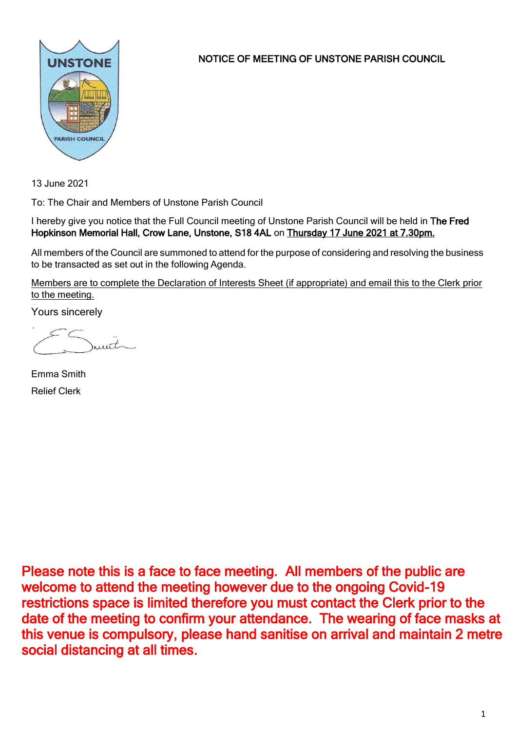

NOTICE OF MEETING OF UNSTONE PARISH COUNCIL

13 June 2021

To: The Chair and Members of Unstone Parish Council

I hereby give you notice that the Full Council meeting of Unstone Parish Council will be held in The Fred Hopkinson Memorial Hall, Crow Lane, Unstone, S18 4AL on Thursday 17 June 2021 at 7.30pm.

All members of the Council are summoned to attend for the purpose of considering and resolving the business to be transacted as set out in the following Agenda.

Members are to complete the Declaration of Interests Sheet (if appropriate) and email this to the Clerk prior to the meeting.

Yours sincerely

munt

Emma Smith Relief Clerk

Please note this is a face to face meeting. All members of the public are welcome to attend the meeting however due to the ongoing Covid-19 restrictions space is limited therefore you must contact the Clerk prior to the date of the meeting to confirm your attendance. The wearing of face masks at this venue is compulsory, please hand sanitise on arrival and maintain 2 metre social distancing at all times.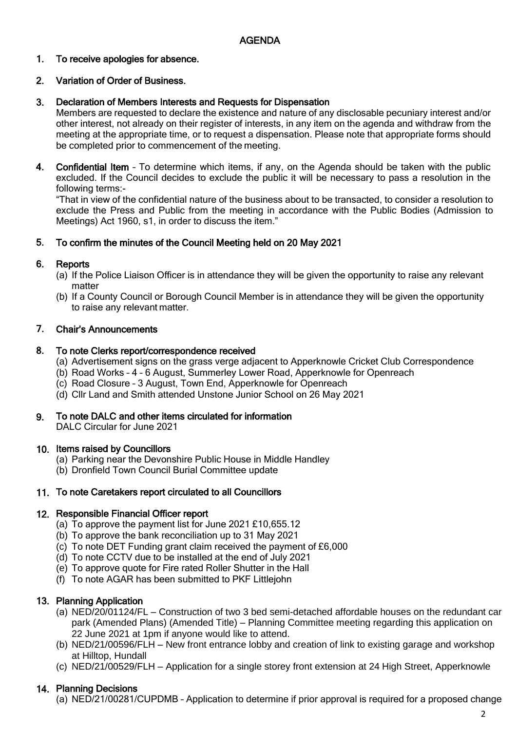### 1. To receive apologies for absence.

### 2. Variation of Order of Business.

### 3. Declaration of Members Interests and Requests for Dispensation

Members are requested to declare the existence and nature of any disclosable pecuniary interest and/or other interest, not already on their register of interests, in any item on the agenda and withdraw from the meeting at the appropriate time, or to request a dispensation. Please note that appropriate forms should be completed prior to commencement of the meeting.

4. Confidential Item – To determine which items, if any, on the Agenda should be taken with the public excluded. If the Council decides to exclude the public it will be necessary to pass a resolution in the following terms:-

"That in view of the confidential nature of the business about to be transacted, to consider a resolution to exclude the Press and Public from the meeting in accordance with the Public Bodies (Admission to Meetings) Act 1960, s1, in order to discuss the item."

### 5. To confirm the minutes of the Council Meeting held on 20 May 2021

### 6. **Reports**

- (a) If the Police Liaison Officer is in attendance they will be given the opportunity to raise any relevant matter
- (b) If a County Council or Borough Council Member is in attendance they will be given the opportunity to raise any relevant matter.

#### 7. Chair's Announcements

#### 8. To note Clerks report/correspondence received

- (a) Advertisement signs on the grass verge adjacent to Apperknowle Cricket Club Correspondence
- (b) Road Works 4 6 August, Summerley Lower Road, Apperknowle for Openreach
- (c) Road Closure 3 August, Town End, Apperknowle for Openreach
- (d) Cllr Land and Smith attended Unstone Junior School on 26 May 2021

### 9. To note DALC and other items circulated for information

DALC Circular for June 2021

# 10. Items raised by Councillors

- (a) Parking near the Devonshire Public House in Middle Handley
- (b) Dronfield Town Council Burial Committee update

# 11. To note Caretakers report circulated to all Councillors

# 12. Responsible Financial Officer report

- (a) To approve the payment list for June 2021 £10,655.12
- (b) To approve the bank reconciliation up to 31 May 2021
- (c) To note DET Funding grant claim received the payment of £6,000
- (d) To note CCTV due to be installed at the end of July 2021
- (e) To approve quote for Fire rated Roller Shutter in the Hall
- (f) To note AGAR has been submitted to PKF Littlejohn

# 13. Planning Application

- (a) NED/20/01124/FL Construction of two 3 bed semi-detached affordable houses on the redundant car park (Amended Plans) (Amended Title) – Planning Committee meeting regarding this application on 22 June 2021 at 1pm if anyone would like to attend.
- (b) NED/21/00596/FLH New front entrance lobby and creation of link to existing garage and workshop at Hilltop, Hundall
- (c) NED/21/00529/FLH Application for a single storey front extension at 24 High Street, Apperknowle

# 14. Planning Decisions

(a) NED/21/00281/CUPDMB – Application to determine if prior approval is required for a proposed change